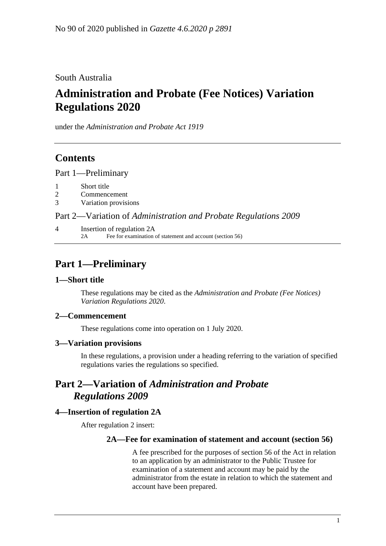South Australia

# **Administration and Probate (Fee Notices) Variation Regulations 2020**

under the *Administration and Probate Act 1919*

## **Contents**

Part [1—Preliminary](#page-0-0)

- 1 [Short title](#page-0-1)
- 2 [Commencement](#page-0-2)
- 3 [Variation provisions](#page-0-3)

Part 2—Variation of *[Administration and Probate Regulations](#page-0-4) 2009*

4 [Insertion of regulation 2A](#page-0-5) 2A Fee for examination of statement and account (section 56)

## <span id="page-0-0"></span>**Part 1—Preliminary**

### <span id="page-0-1"></span>**1—Short title**

These regulations may be cited as the *Administration and Probate (Fee Notices) Variation Regulations 2020*.

### <span id="page-0-2"></span>**2—Commencement**

These regulations come into operation on 1 July 2020.

#### <span id="page-0-3"></span>**3—Variation provisions**

In these regulations, a provision under a heading referring to the variation of specified regulations varies the regulations so specified.

## <span id="page-0-4"></span>**Part 2—Variation of** *Administration and Probate Regulations 2009*

### <span id="page-0-5"></span>**4—Insertion of regulation 2A**

After regulation 2 insert:

#### **2A—Fee for examination of statement and account (section 56)**

A fee prescribed for the purposes of section 56 of the Act in relation to an application by an administrator to the Public Trustee for examination of a statement and account may be paid by the administrator from the estate in relation to which the statement and account have been prepared.